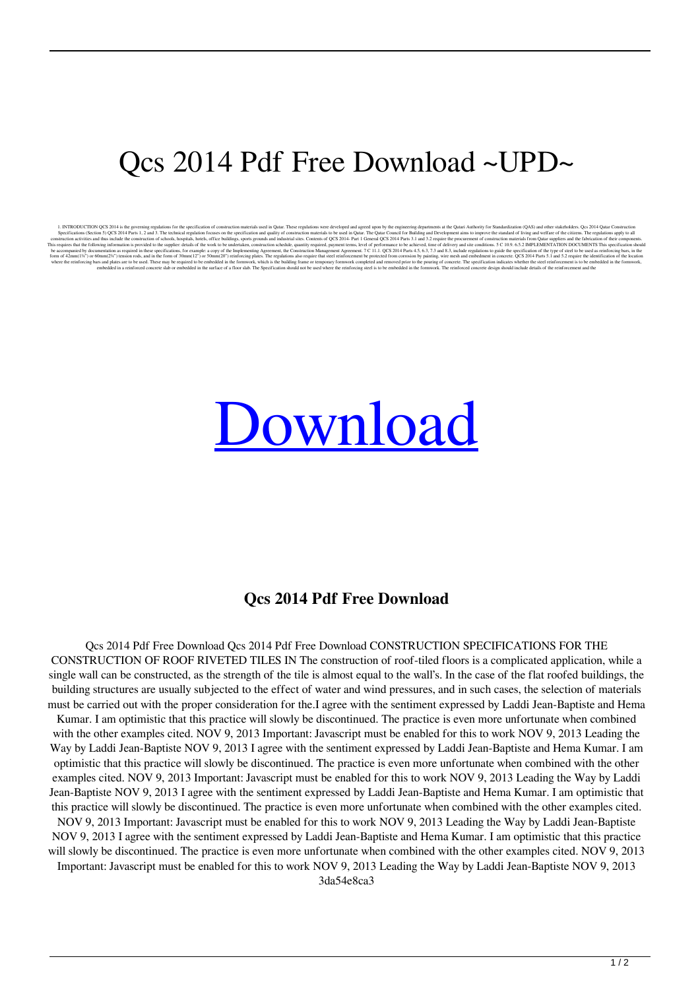## Qcs 2014 Pdf Free Download ~UPD~

1. IN RODUCTION QCS 2014 is the sportant greatulaton for the specification of constanction materials used in Agrar. The regulation of constanction materials used in Agrar. The Quare Council for Building and Development aim

## [Download](http://evacdir.com/emile/fastpitch.invividual.UWNzIDIwMTQgUGRmIEZyZWUgRG93bmxvYWQUWN.ZG93bmxvYWR8MkVqWkRCeGFYeDhNVFkxTlRnME1qazRNWHg4TWpVNU1IeDhLRTBwSUZkdmNtUndjbVZ6Y3lCYldFMU1VbEJESUZZeUlGQkVSbDA.teotihuac.onlooker.varicose.)

## **Qcs 2014 Pdf Free Download**

Qcs 2014 Pdf Free Download Qcs 2014 Pdf Free Download CONSTRUCTION SPECIFICATIONS FOR THE CONSTRUCTION OF ROOF RIVETED TILES IN The construction of roof-tiled floors is a complicated application, while a single wall can be constructed, as the strength of the tile is almost equal to the wall's. In the case of the flat roofed buildings, the building structures are usually subjected to the effect of water and wind pressures, and in such cases, the selection of materials must be carried out with the proper consideration for the.I agree with the sentiment expressed by Laddi Jean-Baptiste and Hema Kumar. I am optimistic that this practice will slowly be discontinued. The practice is even more unfortunate when combined with the other examples cited. NOV 9, 2013 Important: Javascript must be enabled for this to work NOV 9, 2013 Leading the Way by Laddi Jean-Baptiste NOV 9, 2013 I agree with the sentiment expressed by Laddi Jean-Baptiste and Hema Kumar. I am optimistic that this practice will slowly be discontinued. The practice is even more unfortunate when combined with the other examples cited. NOV 9, 2013 Important: Javascript must be enabled for this to work NOV 9, 2013 Leading the Way by Laddi Jean-Baptiste NOV 9, 2013 I agree with the sentiment expressed by Laddi Jean-Baptiste and Hema Kumar. I am optimistic that this practice will slowly be discontinued. The practice is even more unfortunate when combined with the other examples cited. NOV 9, 2013 Important: Javascript must be enabled for this to work NOV 9, 2013 Leading the Way by Laddi Jean-Baptiste NOV 9, 2013 I agree with the sentiment expressed by Laddi Jean-Baptiste and Hema Kumar. I am optimistic that this practice will slowly be discontinued. The practice is even more unfortunate when combined with the other examples cited. NOV 9, 2013 Important: Javascript must be enabled for this to work NOV 9, 2013 Leading the Way by Laddi Jean-Baptiste NOV 9, 2013

3da54e8ca3